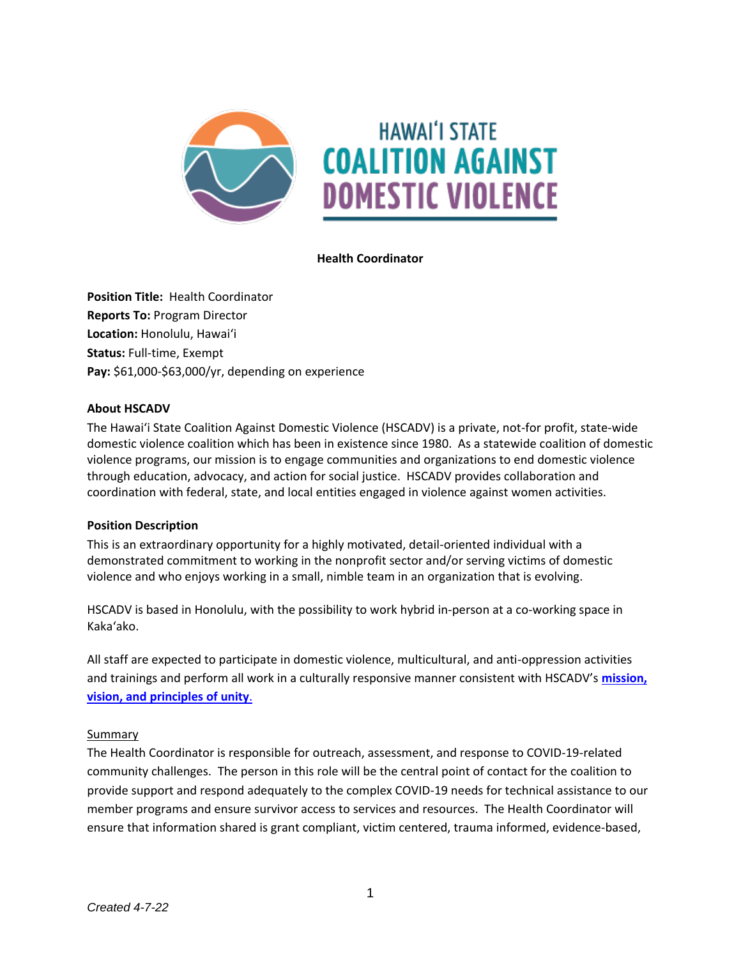

**Health Coordinator**

**Position Title:** Health Coordinator **Reports To:** Program Director **Location:** Honolulu, Hawaiʻi **Status:** Full-time, Exempt Pay: \$61,000-\$63,000/yr, depending on experience

#### **About HSCADV**

The Hawaiʻi State Coalition Against Domestic Violence (HSCADV) is a private, not-for profit, state-wide domestic violence coalition which has been in existence since 1980. As a statewide coalition of domestic violence programs, our mission is to engage communities and organizations to end domestic violence through education, advocacy, and action for social justice. HSCADV provides collaboration and coordination with federal, state, and local entities engaged in violence against women activities.

#### **Position Description**

This is an extraordinary opportunity for a highly motivated, detail-oriented individual with a demonstrated commitment to working in the nonprofit sector and/or serving victims of domestic violence and who enjoys working in a small, nimble team in an organization that is evolving.

HSCADV is based in Honolulu, with the possibility to work hybrid in-person at a co-working space in Kakaʻako.

All staff are expected to participate in domestic violence, multicultural, and anti-oppression activities and trainings and perform all work in a culturally responsive manner consistent with HSCADV's **[mission,](https://www.hscadv.org/about-us/)  vision, [and principles of unity](https://www.hscadv.org/about-us/)**.

#### Summary

The Health Coordinator is responsible for outreach, assessment, and response to COVID-19-related community challenges. The person in this role will be the central point of contact for the coalition to provide support and respond adequately to the complex COVID-19 needs for technical assistance to our member programs and ensure survivor access to services and resources. The Health Coordinator will ensure that information shared is grant compliant, victim centered, trauma informed, evidence-based,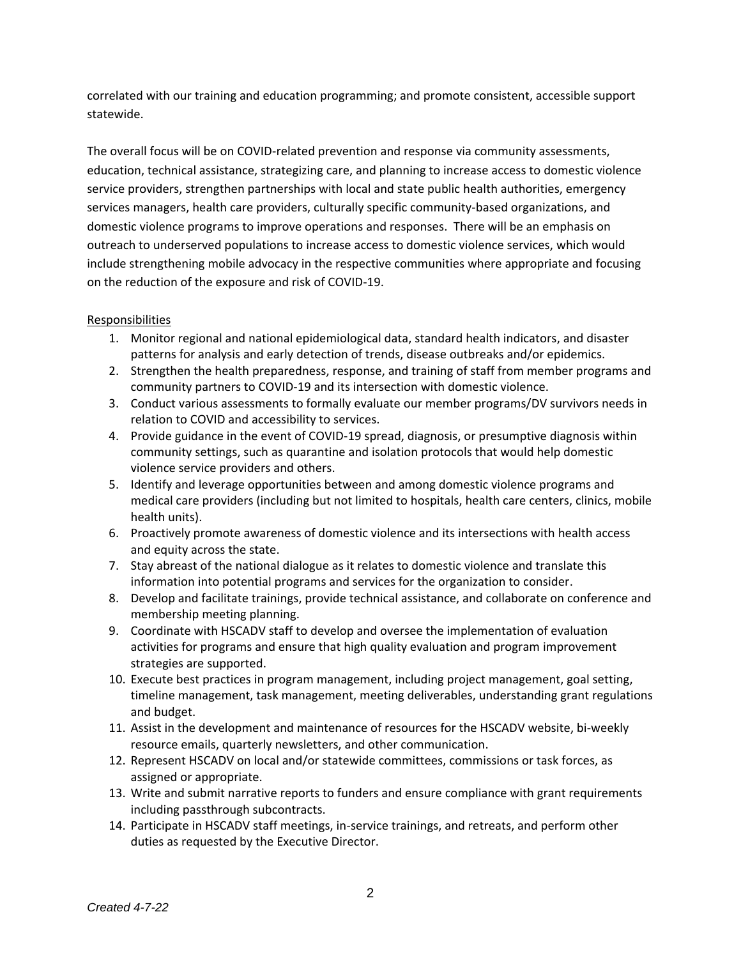correlated with our training and education programming; and promote consistent, accessible support statewide.

The overall focus will be on COVID-related prevention and response via community assessments, education, technical assistance, strategizing care, and planning to increase access to domestic violence service providers, strengthen partnerships with local and state public health authorities, emergency services managers, health care providers, culturally specific community-based organizations, and domestic violence programs to improve operations and responses. There will be an emphasis on outreach to underserved populations to increase access to domestic violence services, which would include strengthening mobile advocacy in the respective communities where appropriate and focusing on the reduction of the exposure and risk of COVID-19.

### **Responsibilities**

- 1. Monitor regional and national epidemiological data, standard health indicators, and disaster patterns for analysis and early detection of trends, disease outbreaks and/or epidemics.
- 2. Strengthen the health preparedness, response, and training of staff from member programs and community partners to COVID-19 and its intersection with domestic violence.
- 3. Conduct various assessments to formally evaluate our member programs/DV survivors needs in relation to COVID and accessibility to services.
- 4. Provide guidance in the event of COVID-19 spread, diagnosis, or presumptive diagnosis within community settings, such as quarantine and isolation protocols that would help domestic violence service providers and others.
- 5. Identify and leverage opportunities between and among domestic violence programs and medical care providers (including but not limited to hospitals, health care centers, clinics, mobile health units).
- 6. Proactively promote awareness of domestic violence and its intersections with health access and equity across the state.
- 7. Stay abreast of the national dialogue as it relates to domestic violence and translate this information into potential programs and services for the organization to consider.
- 8. Develop and facilitate trainings, provide technical assistance, and collaborate on conference and membership meeting planning.
- 9. Coordinate with HSCADV staff to develop and oversee the implementation of evaluation activities for programs and ensure that high quality evaluation and program improvement strategies are supported.
- 10. Execute best practices in program management, including project management, goal setting, timeline management, task management, meeting deliverables, understanding grant regulations and budget.
- 11. Assist in the development and maintenance of resources for the HSCADV website, bi-weekly resource emails, quarterly newsletters, and other communication.
- 12. Represent HSCADV on local and/or statewide committees, commissions or task forces, as assigned or appropriate.
- 13. Write and submit narrative reports to funders and ensure compliance with grant requirements including passthrough subcontracts.
- 14. Participate in HSCADV staff meetings, in-service trainings, and retreats, and perform other duties as requested by the Executive Director.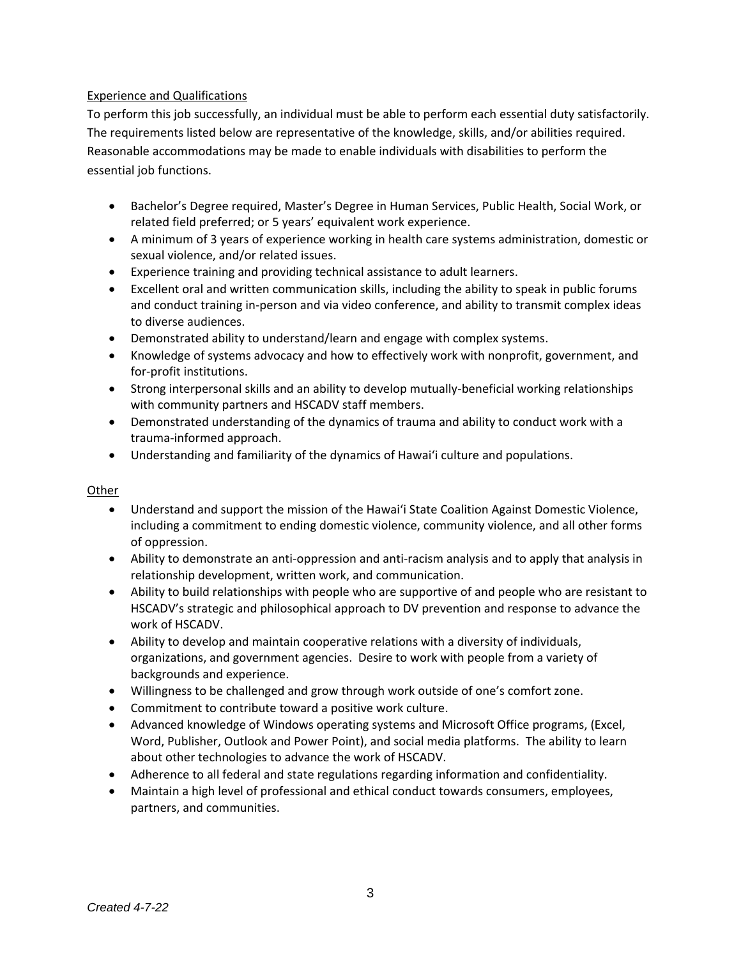## Experience and Qualifications

To perform this job successfully, an individual must be able to perform each essential duty satisfactorily. The requirements listed below are representative of the knowledge, skills, and/or abilities required. Reasonable accommodations may be made to enable individuals with disabilities to perform the essential job functions.

- Bachelor's Degree required, Master's Degree in Human Services, Public Health, Social Work, or related field preferred; or 5 years' equivalent work experience.
- A minimum of 3 years of experience working in health care systems administration, domestic or sexual violence, and/or related issues.
- Experience training and providing technical assistance to adult learners.
- Excellent oral and written communication skills, including the ability to speak in public forums and conduct training in-person and via video conference, and ability to transmit complex ideas to diverse audiences.
- Demonstrated ability to understand/learn and engage with complex systems.
- Knowledge of systems advocacy and how to effectively work with nonprofit, government, and for-profit institutions.
- Strong interpersonal skills and an ability to develop mutually-beneficial working relationships with community partners and HSCADV staff members.
- Demonstrated understanding of the dynamics of trauma and ability to conduct work with a trauma-informed approach.
- Understanding and familiarity of the dynamics of Hawai'i culture and populations.

#### Other

- Understand and support the mission of the Hawai'i State Coalition Against Domestic Violence, including a commitment to ending domestic violence, community violence, and all other forms of oppression.
- Ability to demonstrate an anti-oppression and anti-racism analysis and to apply that analysis in relationship development, written work, and communication.
- Ability to build relationships with people who are supportive of and people who are resistant to HSCADV's strategic and philosophical approach to DV prevention and response to advance the work of HSCADV.
- Ability to develop and maintain cooperative relations with a diversity of individuals, organizations, and government agencies. Desire to work with people from a variety of backgrounds and experience.
- Willingness to be challenged and grow through work outside of one's comfort zone.
- Commitment to contribute toward a positive work culture.
- Advanced knowledge of Windows operating systems and Microsoft Office programs, (Excel, Word, Publisher, Outlook and Power Point), and social media platforms. The ability to learn about other technologies to advance the work of HSCADV.
- Adherence to all federal and state regulations regarding information and confidentiality.
- Maintain a high level of professional and ethical conduct towards consumers, employees, partners, and communities.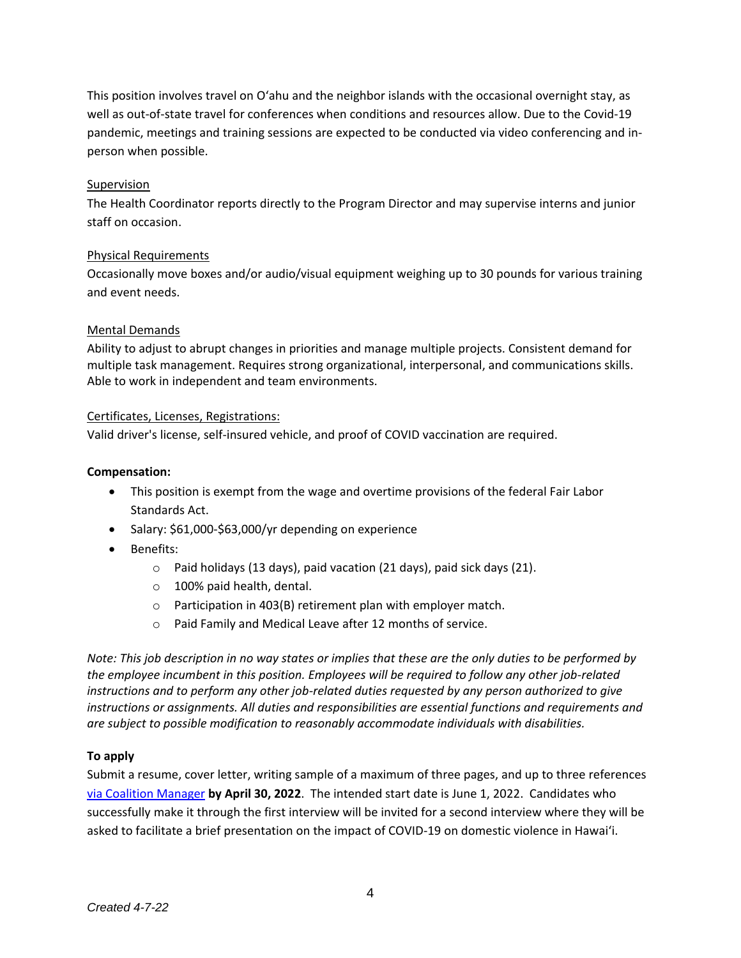This position involves travel on O'ahu and the neighbor islands with the occasional overnight stay, as well as out-of-state travel for conferences when conditions and resources allow. Due to the Covid-19 pandemic, meetings and training sessions are expected to be conducted via video conferencing and inperson when possible.

### Supervision

The Health Coordinator reports directly to the Program Director and may supervise interns and junior staff on occasion.

### Physical Requirements

Occasionally move boxes and/or audio/visual equipment weighing up to 30 pounds for various training and event needs.

### Mental Demands

Ability to adjust to abrupt changes in priorities and manage multiple projects. Consistent demand for multiple task management. Requires strong organizational, interpersonal, and communications skills. Able to work in independent and team environments.

### Certificates, Licenses, Registrations:

Valid driver's license, self-insured vehicle, and proof of COVID vaccination are required.

#### **Compensation:**

- This position is exempt from the wage and overtime provisions of the federal Fair Labor Standards Act.
- Salary: \$61,000-\$63,000/yr depending on experience
- Benefits:
	- o Paid holidays (13 days), paid vacation (21 days), paid sick days (21).
	- o 100% paid health, dental.
	- o Participation in 403(B) retirement plan with employer match.
	- o Paid Family and Medical Leave after 12 months of service.

*Note: This job description in no way states or implies that these are the only duties to be performed by the employee incumbent in this position. Employees will be required to follow any other job-related instructions and to perform any other job-related duties requested by any person authorized to give instructions or assignments. All duties and responsibilities are essential functions and requirements and are subject to possible modification to reasonably accommodate individuals with disabilities.*

# **To apply**

Submit a resume, cover letter, writing sample of a maximum of three pages, and up to three references [via Coalition Manager](https://hscadv.coalitionmanager.org/formmanager/formsubmission/create?formId=28) **by April 30, 2022**. The intended start date is June 1, 2022. Candidates who successfully make it through the first interview will be invited for a second interview where they will be asked to facilitate a brief presentation on the impact of COVID-19 on domestic violence in Hawai'i.